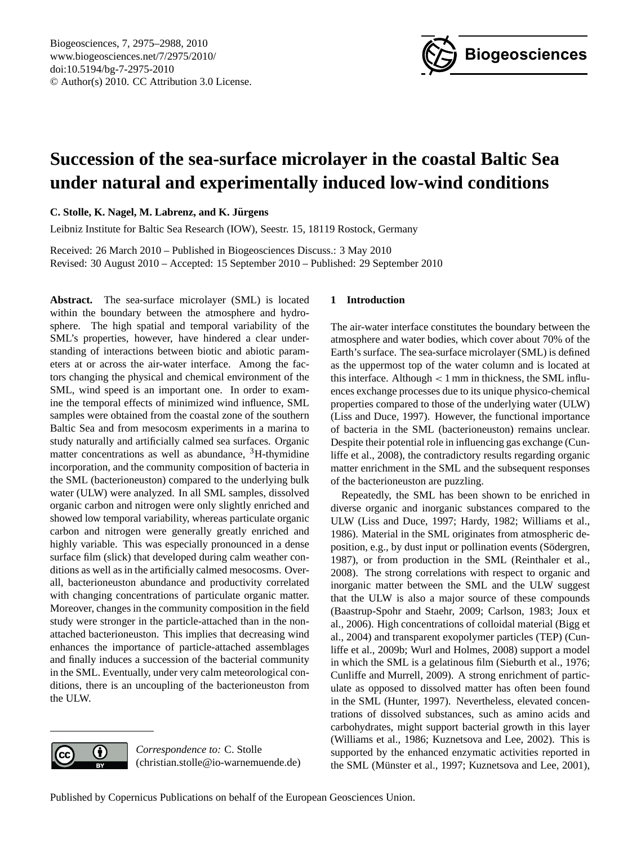

# <span id="page-0-0"></span>**Succession of the sea-surface microlayer in the coastal Baltic Sea under natural and experimentally induced low-wind conditions**

**C. Stolle, K. Nagel, M. Labrenz, and K. Jurgens ¨**

Leibniz Institute for Baltic Sea Research (IOW), Seestr. 15, 18119 Rostock, Germany

Received: 26 March 2010 – Published in Biogeosciences Discuss.: 3 May 2010 Revised: 30 August 2010 – Accepted: 15 September 2010 – Published: 29 September 2010

**Abstract.** The sea-surface microlayer (SML) is located within the boundary between the atmosphere and hydrosphere. The high spatial and temporal variability of the SML's properties, however, have hindered a clear understanding of interactions between biotic and abiotic parameters at or across the air-water interface. Among the factors changing the physical and chemical environment of the SML, wind speed is an important one. In order to examine the temporal effects of minimized wind influence, SML samples were obtained from the coastal zone of the southern Baltic Sea and from mesocosm experiments in a marina to study naturally and artificially calmed sea surfaces. Organic matter concentrations as well as abundance,  ${}^{3}$ H-thymidine incorporation, and the community composition of bacteria in the SML (bacterioneuston) compared to the underlying bulk water (ULW) were analyzed. In all SML samples, dissolved organic carbon and nitrogen were only slightly enriched and showed low temporal variability, whereas particulate organic carbon and nitrogen were generally greatly enriched and highly variable. This was especially pronounced in a dense surface film (slick) that developed during calm weather conditions as well as in the artificially calmed mesocosms. Overall, bacterioneuston abundance and productivity correlated with changing concentrations of particulate organic matter. Moreover, changes in the community composition in the field study were stronger in the particle-attached than in the nonattached bacterioneuston. This implies that decreasing wind enhances the importance of particle-attached assemblages and finally induces a succession of the bacterial community in the SML. Eventually, under very calm meteorological conditions, there is an uncoupling of the bacterioneuston from the ULW.

## **1 Introduction**

The air-water interface constitutes the boundary between the atmosphere and water bodies, which cover about 70% of the Earth's surface. The sea-surface microlayer (SML) is defined as the uppermost top of the water column and is located at this interface. Although  $< 1$  mm in thickness, the SML influences exchange processes due to its unique physico-chemical properties compared to those of the underlying water (ULW) (Liss and Duce, 1997). However, the functional importance of bacteria in the SML (bacterioneuston) remains unclear. Despite their potential role in influencing gas exchange (Cunliffe et al., 2008), the contradictory results regarding organic matter enrichment in the SML and the subsequent responses of the bacterioneuston are puzzling.

Repeatedly, the SML has been shown to be enriched in diverse organic and inorganic substances compared to the ULW (Liss and Duce, 1997; Hardy, 1982; Williams et al., 1986). Material in the SML originates from atmospheric deposition, e.g., by dust input or pollination events (Södergren, 1987), or from production in the SML (Reinthaler et al., 2008). The strong correlations with respect to organic and inorganic matter between the SML and the ULW suggest that the ULW is also a major source of these compounds (Baastrup-Spohr and Staehr, 2009; Carlson, 1983; Joux et al., 2006). High concentrations of colloidal material (Bigg et al., 2004) and transparent exopolymer particles (TEP) (Cunliffe et al., 2009b; Wurl and Holmes, 2008) support a model in which the SML is a gelatinous film (Sieburth et al., 1976; Cunliffe and Murrell, 2009). A strong enrichment of particulate as opposed to dissolved matter has often been found in the SML (Hunter, 1997). Nevertheless, elevated concentrations of dissolved substances, such as amino acids and carbohydrates, might support bacterial growth in this layer (Williams et al., 1986; Kuznetsova and Lee, 2002). This is supported by the enhanced enzymatic activities reported in the SML (Münster et al., 1997; Kuznetsova and Lee, 2001),



*Correspondence to:* C. Stolle (christian.stolle@io-warnemuende.de)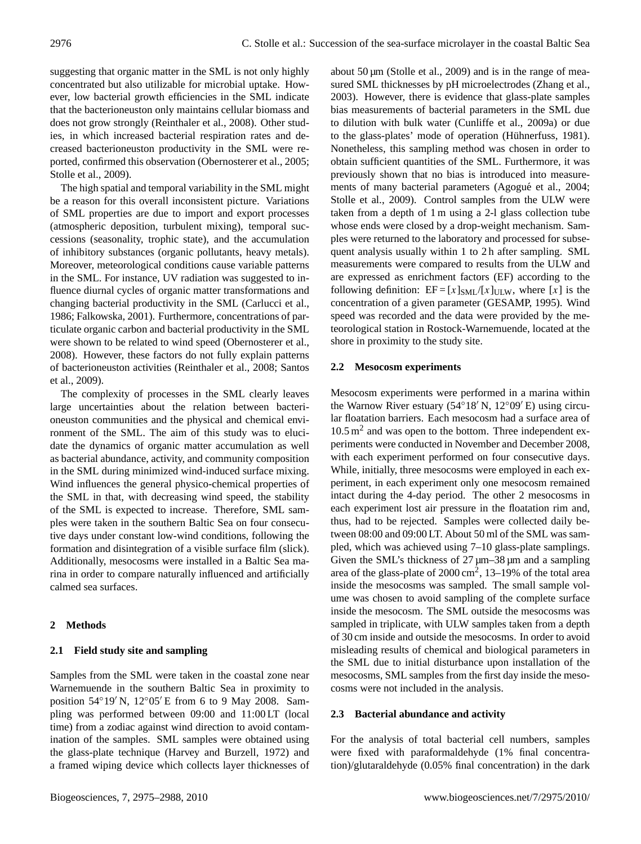suggesting that organic matter in the SML is not only highly concentrated but also utilizable for microbial uptake. However, low bacterial growth efficiencies in the SML indicate that the bacterioneuston only maintains cellular biomass and does not grow strongly (Reinthaler et al., 2008). Other studies, in which increased bacterial respiration rates and decreased bacterioneuston productivity in the SML were reported, confirmed this observation (Obernosterer et al., 2005; Stolle et al., 2009).

The high spatial and temporal variability in the SML might be a reason for this overall inconsistent picture. Variations of SML properties are due to import and export processes (atmospheric deposition, turbulent mixing), temporal successions (seasonality, trophic state), and the accumulation of inhibitory substances (organic pollutants, heavy metals). Moreover, meteorological conditions cause variable patterns in the SML. For instance, UV radiation was suggested to influence diurnal cycles of organic matter transformations and changing bacterial productivity in the SML (Carlucci et al., 1986; Falkowska, 2001). Furthermore, concentrations of particulate organic carbon and bacterial productivity in the SML were shown to be related to wind speed (Obernosterer et al., 2008). However, these factors do not fully explain patterns of bacterioneuston activities (Reinthaler et al., 2008; Santos et al., 2009).

The complexity of processes in the SML clearly leaves large uncertainties about the relation between bacterioneuston communities and the physical and chemical environment of the SML. The aim of this study was to elucidate the dynamics of organic matter accumulation as well as bacterial abundance, activity, and community composition in the SML during minimized wind-induced surface mixing. Wind influences the general physico-chemical properties of the SML in that, with decreasing wind speed, the stability of the SML is expected to increase. Therefore, SML samples were taken in the southern Baltic Sea on four consecutive days under constant low-wind conditions, following the formation and disintegration of a visible surface film (slick). Additionally, mesocosms were installed in a Baltic Sea marina in order to compare naturally influenced and artificially calmed sea surfaces.

## **2 Methods**

# **2.1 Field study site and sampling**

Samples from the SML were taken in the coastal zone near Warnemuende in the southern Baltic Sea in proximity to position 54°19′ N, 12°05′ E from 6 to 9 May 2008. Sampling was performed between 09:00 and 11:00 LT (local time) from a zodiac against wind direction to avoid contamination of the samples. SML samples were obtained using the glass-plate technique (Harvey and Burzell, 1972) and a framed wiping device which collects layer thicknesses of about  $50 \mu m$  (Stolle et al., 2009) and is in the range of measured SML thicknesses by pH microelectrodes (Zhang et al., 2003). However, there is evidence that glass-plate samples bias measurements of bacterial parameters in the SML due to dilution with bulk water (Cunliffe et al., 2009a) or due to the glass-plates' mode of operation (Hühnerfuss, 1981). Nonetheless, this sampling method was chosen in order to obtain sufficient quantities of the SML. Furthermore, it was previously shown that no bias is introduced into measurements of many bacterial parameters (Agogué et al., 2004; Stolle et al., 2009). Control samples from the ULW were taken from a depth of 1 m using a 2-l glass collection tube whose ends were closed by a drop-weight mechanism. Samples were returned to the laboratory and processed for subsequent analysis usually within 1 to 2 h after sampling. SML measurements were compared to results from the ULW and are expressed as enrichment factors (EF) according to the following definition:  $EF = [x]_{SML}/[x]_{ULW}$ , where [x] is the concentration of a given parameter (GESAMP, 1995). Wind speed was recorded and the data were provided by the meteorological station in Rostock-Warnemuende, located at the shore in proximity to the study site.

#### **2.2 Mesocosm experiments**

Mesocosm experiments were performed in a marina within the Warnow River estuary (54°18′ N, 12°09′ E) using circular floatation barriers. Each mesocosm had a surface area of  $10.5 \text{ m}^2$  and was open to the bottom. Three independent experiments were conducted in November and December 2008, with each experiment performed on four consecutive days. While, initially, three mesocosms were employed in each experiment, in each experiment only one mesocosm remained intact during the 4-day period. The other 2 mesocosms in each experiment lost air pressure in the floatation rim and, thus, had to be rejected. Samples were collected daily between 08:00 and 09:00 LT. About 50 ml of the SML was sampled, which was achieved using 7–10 glass-plate samplings. Given the SML's thickness of 27 µm–38 µm and a sampling area of the glass-plate of  $2000 \text{ cm}^2$ , 13–19% of the total area inside the mesocosms was sampled. The small sample volume was chosen to avoid sampling of the complete surface inside the mesocosm. The SML outside the mesocosms was sampled in triplicate, with ULW samples taken from a depth of 30 cm inside and outside the mesocosms. In order to avoid misleading results of chemical and biological parameters in the SML due to initial disturbance upon installation of the mesocosms, SML samples from the first day inside the mesocosms were not included in the analysis.

#### **2.3 Bacterial abundance and activity**

For the analysis of total bacterial cell numbers, samples were fixed with paraformaldehyde (1% final concentration)/glutaraldehyde (0.05% final concentration) in the dark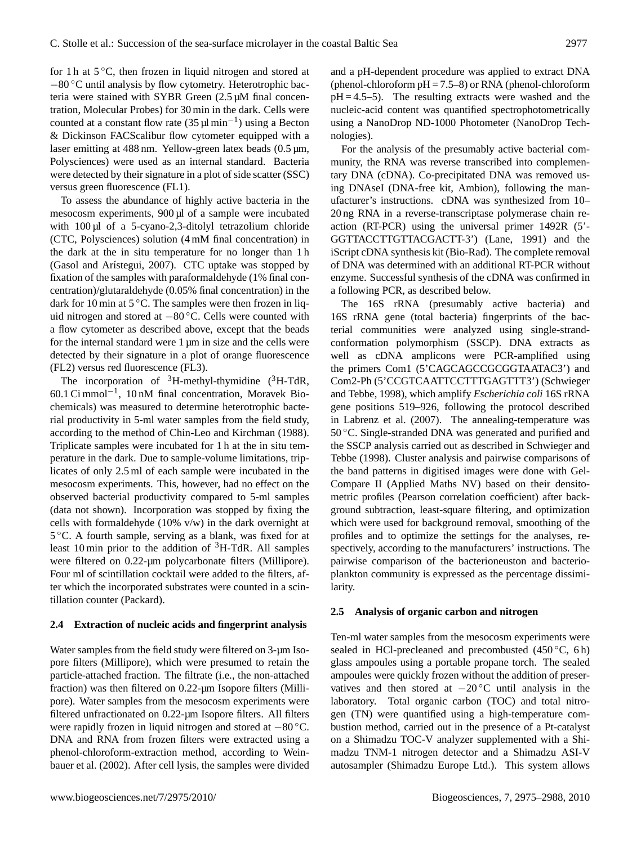for 1 h at  $5^{\circ}$ C, then frozen in liquid nitrogen and stored at −80 ◦C until analysis by flow cytometry. Heterotrophic bacteria were stained with SYBR Green (2.5 µM final concentration, Molecular Probes) for 30 min in the dark. Cells were counted at a constant flow rate  $(35 \mu I \text{ min}^{-1})$  using a Becton & Dickinson FACScalibur flow cytometer equipped with a laser emitting at 488 nm. Yellow-green latex beads (0.5 µm, Polysciences) were used as an internal standard. Bacteria were detected by their signature in a plot of side scatter (SSC) versus green fluorescence (FL1).

To assess the abundance of highly active bacteria in the mesocosm experiments, 900 µl of a sample were incubated with 100 µl of a 5-cyano-2,3-ditolyl tetrazolium chloride (CTC, Polysciences) solution (4 mM final concentration) in the dark at the in situ temperature for no longer than 1 h (Gasol and Arístegui, 2007). CTC uptake was stopped by fixation of the samples with paraformaldehyde (1% final concentration)/glutaraldehyde (0.05% final concentration) in the dark for 10 min at  $5^{\circ}$ C. The samples were then frozen in liquid nitrogen and stored at −80 ◦C. Cells were counted with a flow cytometer as described above, except that the beads for the internal standard were 1 µm in size and the cells were detected by their signature in a plot of orange fluorescence (FL2) versus red fluorescence (FL3).

The incorporation of  ${}^{3}$ H-methyl-thymidine ( ${}^{3}$ H-TdR, 60.1 Ci mmol−<sup>1</sup> , 10 nM final concentration, Moravek Biochemicals) was measured to determine heterotrophic bacterial productivity in 5-ml water samples from the field study, according to the method of Chin-Leo and Kirchman (1988). Triplicate samples were incubated for 1 h at the in situ temperature in the dark. Due to sample-volume limitations, triplicates of only 2.5 ml of each sample were incubated in the mesocosm experiments. This, however, had no effect on the observed bacterial productivity compared to 5-ml samples (data not shown). Incorporation was stopped by fixing the cells with formaldehyde (10% v/w) in the dark overnight at 5 ◦C. A fourth sample, serving as a blank, was fixed for at least 10 min prior to the addition of  ${}^{3}H$ -TdR. All samples were filtered on 0.22-µm polycarbonate filters (Millipore). Four ml of scintillation cocktail were added to the filters, after which the incorporated substrates were counted in a scintillation counter (Packard).

#### **2.4 Extraction of nucleic acids and fingerprint analysis**

Water samples from the field study were filtered on 3-µm Isopore filters (Millipore), which were presumed to retain the particle-attached fraction. The filtrate (i.e., the non-attached fraction) was then filtered on 0.22-µm Isopore filters (Millipore). Water samples from the mesocosm experiments were filtered unfractionated on 0.22-um Isopore filters. All filters were rapidly frozen in liquid nitrogen and stored at −80 ◦C. DNA and RNA from frozen filters were extracted using a phenol-chloroform-extraction method, according to Weinbauer et al. (2002). After cell lysis, the samples were divided and a pH-dependent procedure was applied to extract DNA (phenol-chloroform  $pH = 7.5-8$ ) or RNA (phenol-chloroform  $pH = 4.5-5$ . The resulting extracts were washed and the nucleic-acid content was quantified spectrophotometrically using a NanoDrop ND-1000 Photometer (NanoDrop Technologies).

For the analysis of the presumably active bacterial community, the RNA was reverse transcribed into complementary DNA (cDNA). Co-precipitated DNA was removed using DNAseI (DNA-free kit, Ambion), following the manufacturer's instructions. cDNA was synthesized from 10– 20 ng RNA in a reverse-transcriptase polymerase chain reaction (RT-PCR) using the universal primer 1492R (5'- GGTTACCTTGTTACGACTT-3') (Lane, 1991) and the iScript cDNA synthesis kit (Bio-Rad). The complete removal of DNA was determined with an additional RT-PCR without enzyme. Successful synthesis of the cDNA was confirmed in a following PCR, as described below.

The 16S rRNA (presumably active bacteria) and 16S rRNA gene (total bacteria) fingerprints of the bacterial communities were analyzed using single-strandconformation polymorphism (SSCP). DNA extracts as well as cDNA amplicons were PCR-amplified using the primers Com1 (5'CAGCAGCCGCGGTAATAC3') and Com2-Ph (5'CCGTCAATTCCTTTGAGTTT3') (Schwieger and Tebbe, 1998), which amplify *Escherichia coli* 16S rRNA gene positions 519–926, following the protocol described in Labrenz et al. (2007). The annealing-temperature was 50 °C. Single-stranded DNA was generated and purified and the SSCP analysis carried out as described in Schwieger and Tebbe (1998). Cluster analysis and pairwise comparisons of the band patterns in digitised images were done with Gel-Compare II (Applied Maths NV) based on their densitometric profiles (Pearson correlation coefficient) after background subtraction, least-square filtering, and optimization which were used for background removal, smoothing of the profiles and to optimize the settings for the analyses, respectively, according to the manufacturers' instructions. The pairwise comparison of the bacterioneuston and bacterioplankton community is expressed as the percentage dissimilarity.

#### **2.5 Analysis of organic carbon and nitrogen**

Ten-ml water samples from the mesocosm experiments were sealed in HCl-precleaned and precombusted  $(450 °C, 6 h)$ glass ampoules using a portable propane torch. The sealed ampoules were quickly frozen without the addition of preservatives and then stored at  $-20\degree C$  until analysis in the laboratory. Total organic carbon (TOC) and total nitrogen (TN) were quantified using a high-temperature combustion method, carried out in the presence of a Pt-catalyst on a Shimadzu TOC-V analyzer supplemented with a Shimadzu TNM-1 nitrogen detector and a Shimadzu ASI-V autosampler (Shimadzu Europe Ltd.). This system allows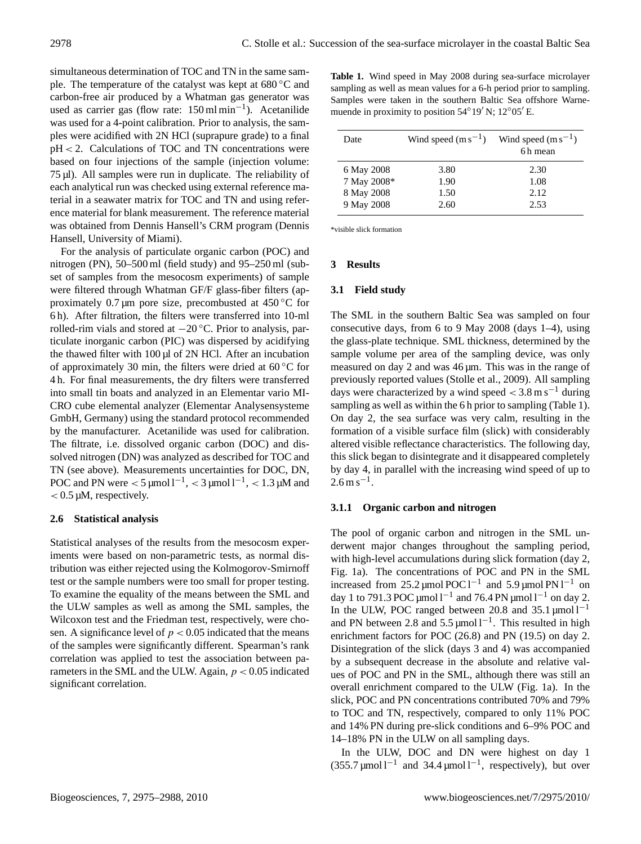simultaneous determination of TOC and TN in the same sample. The temperature of the catalyst was kept at 680 ◦C and carbon-free air produced by a Whatman gas generator was used as carrier gas (flow rate:  $150 \text{ ml min}^{-1}$ ). Acetanilide was used for a 4-point calibration. Prior to analysis, the samples were acidified with 2N HCl (suprapure grade) to a final pH < 2. Calculations of TOC and TN concentrations were based on four injections of the sample (injection volume: 75 µl). All samples were run in duplicate. The reliability of each analytical run was checked using external reference material in a seawater matrix for TOC and TN and using reference material for blank measurement. The reference material was obtained from Dennis Hansell's CRM program (Dennis Hansell, University of Miami).

For the analysis of particulate organic carbon (POC) and nitrogen (PN), 50–500 ml (field study) and 95–250 ml (subset of samples from the mesocosm experiments) of sample were filtered through Whatman GF/F glass-fiber filters (approximately  $0.7 \mu m$  pore size, precombusted at  $450 \degree C$  for 6 h). After filtration, the filters were transferred into 10-ml rolled-rim vials and stored at  $-20$  °C. Prior to analysis, particulate inorganic carbon (PIC) was dispersed by acidifying the thawed filter with 100 µl of 2N HCl. After an incubation of approximately 30 min, the filters were dried at  $60^{\circ}$ C for 4 h. For final measurements, the dry filters were transferred into small tin boats and analyzed in an Elementar vario MI-CRO cube elemental analyzer (Elementar Analysensysteme GmbH, Germany) using the standard protocol recommended by the manufacturer. Acetanilide was used for calibration. The filtrate, i.e. dissolved organic carbon (DOC) and dissolved nitrogen (DN) was analyzed as described for TOC and TN (see above). Measurements uncertainties for DOC, DN, POC and PN were  $< 5 \mu$ mol l<sup>-1</sup>,  $< 3 \mu$ mol l<sup>-1</sup>,  $< 1.3 \mu$ M and  $< 0.5 \mu M$ , respectively.

## **2.6 Statistical analysis**

Statistical analyses of the results from the mesocosm experiments were based on non-parametric tests, as normal distribution was either rejected using the Kolmogorov-Smirnoff test or the sample numbers were too small for proper testing. To examine the equality of the means between the SML and the ULW samples as well as among the SML samples, the Wilcoxon test and the Friedman test, respectively, were chosen. A significance level of  $p < 0.05$  indicated that the means of the samples were significantly different. Spearman's rank correlation was applied to test the association between parameters in the SML and the ULW. Again,  $p < 0.05$  indicated significant correlation.

**Table 1.** Wind speed in May 2008 during sea-surface microlayer sampling as well as mean values for a 6-h period prior to sampling. Samples were taken in the southern Baltic Sea offshore Warnemuende in proximity to position  $54°19'$  N;  $12°05'E$ .

| Date        | Wind speed $(m s^{-1})$ | Wind speed $(m s^{-1})$<br>6h mean |
|-------------|-------------------------|------------------------------------|
| 6 May 2008  | 3.80                    | 2.30                               |
| 7 May 2008* | 1.90                    | 1.08                               |
| 8 May 2008  | 1.50                    | 2.12                               |
| 9 May 2008  | 2.60                    | 2.53                               |

\*visible slick formation

## **3 Results**

## **3.1 Field study**

The SML in the southern Baltic Sea was sampled on four consecutive days, from 6 to 9 May 2008 (days 1–4), using the glass-plate technique. SML thickness, determined by the sample volume per area of the sampling device, was only measured on day 2 and was 46  $\mu$ m. This was in the range of previously reported values (Stolle et al., 2009). All sampling days were characterized by a wind speed  $<$  3.8 m s<sup>-1</sup> during sampling as well as within the 6 h prior to sampling (Table 1). On day 2, the sea surface was very calm, resulting in the formation of a visible surface film (slick) with considerably altered visible reflectance characteristics. The following day, this slick began to disintegrate and it disappeared completely by day 4, in parallel with the increasing wind speed of up to  $2.6 \,\mathrm{m\,s^{-1}}$ .

#### **3.1.1 Organic carbon and nitrogen**

The pool of organic carbon and nitrogen in the SML underwent major changes throughout the sampling period, with high-level accumulations during slick formation (day 2, Fig. 1a). The concentrations of POC and PN in the SML increased from 25.2 μmol POC l<sup>-1</sup> and 5.9 μmol PN l<sup>-1</sup> on day 1 to 791.3 POC µmol  $l^{-1}$  and 76.4 PN µmol  $l^{-1}$  on day 2. In the ULW, POC ranged between 20.8 and 35.1  $\mu$ mol l<sup>-1</sup> and PN between 2.8 and 5.5 µmol  $1^{-1}$ . This resulted in high enrichment factors for POC (26.8) and PN (19.5) on day 2. Disintegration of the slick (days 3 and 4) was accompanied by a subsequent decrease in the absolute and relative values of POC and PN in the SML, although there was still an overall enrichment compared to the ULW (Fig. 1a). In the slick, POC and PN concentrations contributed 70% and 79% to TOC and TN, respectively, compared to only 11% POC and 14% PN during pre-slick conditions and 6–9% POC and 14–18% PN in the ULW on all sampling days.

In the ULW, DOC and DN were highest on day 1  $(355.7 \,\mathrm{\mu} \text{mol} \text{ } 1^{-1}$  and 34.4  $\,\mathrm{\mu} \text{mol} \text{ } 1^{-1}$ , respectively), but over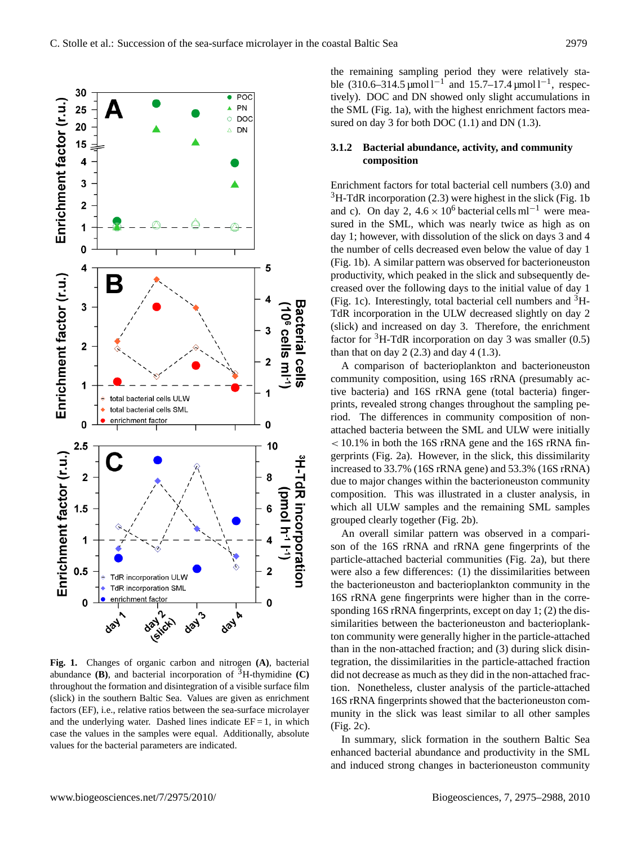

**Fig. 1.** Changes of organic carbon and nitrogen **(A)**, bacterial abundance  $(B)$ , and bacterial incorporation of  ${}^{3}H$ -thymidine  $(C)$ throughout the formation and disintegration of a visible surface film (slick) in the southern Baltic Sea. Values are given as enrichment factors (EF), i.e., relative ratios between the sea-surface microlayer and the underlying water. Dashed lines indicate  $EF = 1$ , in which case the values in the samples were equal. Additionally, absolute values for the bacterial parameters are indicated.

the remaining sampling period they were relatively stable  $(310.6-314.5 \,\text{\mu} \text{mol} \text{1}^{-1}$  and  $15.7-17.4 \,\text{\mu} \text{mol} \text{1}^{-1}$ , respectively). DOC and DN showed only slight accumulations in the SML (Fig. 1a), with the highest enrichment factors measured on day 3 for both DOC  $(1.1)$  and DN  $(1.3)$ .

# **3.1.2 Bacterial abundance, activity, and community composition**

Enrichment factors for total bacterial cell numbers (3.0) and  $3H-TdR$  incorporation (2.3) were highest in the slick (Fig. 1b) and c). On day 2,  $4.6 \times 10^6$  bacterial cells ml<sup>-1</sup> were measured in the SML, which was nearly twice as high as on day 1; however, with dissolution of the slick on days 3 and 4 the number of cells decreased even below the value of day 1 (Fig. 1b). A similar pattern was observed for bacterioneuston productivity, which peaked in the slick and subsequently decreased over the following days to the initial value of day 1 (Fig. 1c). Interestingly, total bacterial cell numbers and  ${}^{3}$ H-TdR incorporation in the ULW decreased slightly on day 2 (slick) and increased on day 3. Therefore, the enrichment factor for  ${}^{3}$ H-TdR incorporation on day 3 was smaller (0.5) than that on day  $2$  (2.3) and day  $4$  (1.3).

A comparison of bacterioplankton and bacterioneuston community composition, using 16S rRNA (presumably active bacteria) and 16S rRNA gene (total bacteria) fingerprints, revealed strong changes throughout the sampling period. The differences in community composition of nonattached bacteria between the SML and ULW were initially  $<$  10.1% in both the 16S rRNA gene and the 16S rRNA fingerprints (Fig. 2a). However, in the slick, this dissimilarity increased to 33.7% (16S rRNA gene) and 53.3% (16S rRNA) due to major changes within the bacterioneuston community composition. This was illustrated in a cluster analysis, in which all ULW samples and the remaining SML samples grouped clearly together (Fig. 2b).

An overall similar pattern was observed in a comparison of the 16S rRNA and rRNA gene fingerprints of the particle-attached bacterial communities (Fig. 2a), but there were also a few differences: (1) the dissimilarities between the bacterioneuston and bacterioplankton community in the 16S rRNA gene fingerprints were higher than in the corresponding 16S rRNA fingerprints, except on day 1; (2) the dissimilarities between the bacterioneuston and bacterioplankton community were generally higher in the particle-attached than in the non-attached fraction; and (3) during slick disintegration, the dissimilarities in the particle-attached fraction did not decrease as much as they did in the non-attached fraction. Nonetheless, cluster analysis of the particle-attached 16S rRNA fingerprints showed that the bacterioneuston community in the slick was least similar to all other samples (Fig. 2c).

In summary, slick formation in the southern Baltic Sea enhanced bacterial abundance and productivity in the SML and induced strong changes in bacterioneuston community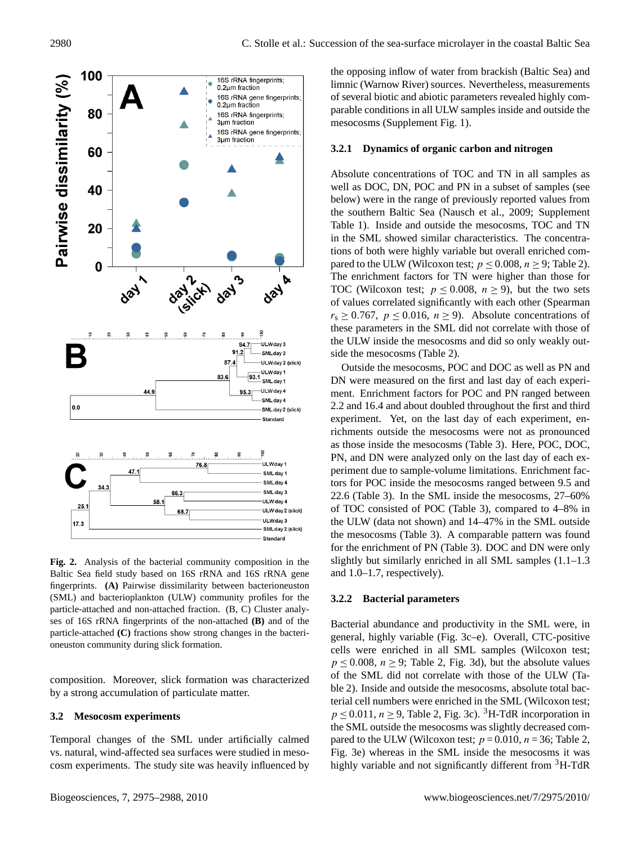

**Fig. 2.** Analysis of the bacterial community composition in the Baltic Sea field study based on 16S rRNA and 16S rRNA gene fingerprints. **(A)** Pairwise dissimilarity between bacterioneuston (SML) and bacterioplankton (ULW) community profiles for the particle-attached and non-attached fraction. (B, C) Cluster analyses of 16S rRNA fingerprints of the non-attached **(B)** and of the particle-attached **(C)** fractions show strong changes in the bacterioneuston community during slick formation.

composition. Moreover, slick formation was characterized by a strong accumulation of particulate matter.

# **3.2 Mesocosm experiments**

Temporal changes of the SML under artificially calmed vs. natural, wind-affected sea surfaces were studied in mesocosm experiments. The study site was heavily influenced by the opposing inflow of water from brackish (Baltic Sea) and limnic (Warnow River) sources. Nevertheless, measurements of several biotic and abiotic parameters revealed highly comparable conditions in all ULW samples inside and outside the mesocosms (Supplement Fig. 1).

# **3.2.1 Dynamics of organic carbon and nitrogen**

Absolute concentrations of TOC and TN in all samples as well as DOC, DN, POC and PN in a subset of samples (see below) were in the range of previously reported values from the southern Baltic Sea (Nausch et al., 2009; Supplement Table 1). Inside and outside the mesocosms, TOC and TN in the SML showed similar characteristics. The concentrations of both were highly variable but overall enriched compared to the ULW (Wilcoxon test;  $p \le 0.008$ ,  $n \ge 9$ ; Table 2). The enrichment factors for TN were higher than those for TOC (Wilcoxon test;  $p \le 0.008$ ,  $n \ge 9$ ), but the two sets of values correlated significantly with each other (Spearman  $r_s \ge 0.767$ ,  $p \le 0.016$ ,  $n \ge 9$ ). Absolute concentrations of these parameters in the SML did not correlate with those of the ULW inside the mesocosms and did so only weakly outside the mesocosms (Table 2).

Outside the mesocosms, POC and DOC as well as PN and DN were measured on the first and last day of each experiment. Enrichment factors for POC and PN ranged between 2.2 and 16.4 and about doubled throughout the first and third experiment. Yet, on the last day of each experiment, enrichments outside the mesocosms were not as pronounced as those inside the mesocosms (Table 3). Here, POC, DOC, PN, and DN were analyzed only on the last day of each experiment due to sample-volume limitations. Enrichment factors for POC inside the mesocosms ranged between 9.5 and 22.6 (Table 3). In the SML inside the mesocosms, 27–60% of TOC consisted of POC (Table 3), compared to 4–8% in the ULW (data not shown) and 14–47% in the SML outside the mesocosms (Table 3). A comparable pattern was found for the enrichment of PN (Table 3). DOC and DN were only slightly but similarly enriched in all SML samples (1.1–1.3 and 1.0–1.7, respectively).

# **3.2.2 Bacterial parameters**

Bacterial abundance and productivity in the SML were, in general, highly variable (Fig. 3c–e). Overall, CTC-positive cells were enriched in all SML samples (Wilcoxon test;  $p \le 0.008$ ,  $n \ge 9$ ; Table 2, Fig. 3d), but the absolute values of the SML did not correlate with those of the ULW (Table 2). Inside and outside the mesocosms, absolute total bacterial cell numbers were enriched in the SML (Wilcoxon test;  $p \le 0.011$ ,  $n > 9$ , Table 2, Fig. 3c). <sup>3</sup>H-TdR incorporation in the SML outside the mesocosms was slightly decreased compared to the ULW (Wilcoxon test;  $p = 0.010$ ,  $n = 36$ ; Table 2, Fig. 3e) whereas in the SML inside the mesocosms it was highly variable and not significantly different from  ${}^{3}$ H-TdR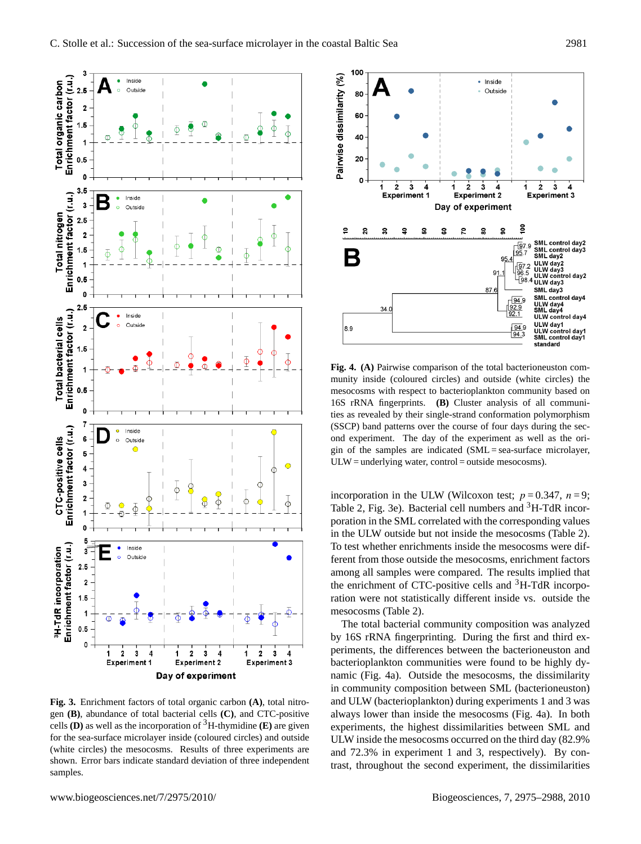

**Fig. 3.** Enrichment factors of total organic carbon **(A)**, total nitrogen **(B)**, abundance of total bacterial cells **(C)**, and CTC-positive cells **(D)** as well as the incorporation of  ${}^{3}H$ -thymidine **(E)** are given for the sea-surface microlayer inside (coloured circles) and outside (white circles) the mesocosms. Results of three experiments are shown. Error bars indicate standard deviation of three independent samples.



**Fig. 4. (A)** Pairwise comparison of the total bacterioneuston community inside (coloured circles) and outside (white circles) the mesocosms with respect to bacterioplankton community based on 16S rRNA fingerprints. **(B)** Cluster analysis of all communities as revealed by their single-strand conformation polymorphism (SSCP) band patterns over the course of four days during the second experiment. The day of the experiment as well as the origin of the samples are indicated (SML = sea-surface microlayer, ULW = underlying water, control = outside mesocosms).

incorporation in the ULW (Wilcoxon test;  $p = 0.347$ ,  $n = 9$ ; Table 2, Fig. 3e). Bacterial cell numbers and <sup>3</sup>H-TdR incorporation in the SML correlated with the corresponding values in the ULW outside but not inside the mesocosms (Table 2). To test whether enrichments inside the mesocosms were different from those outside the mesocosms, enrichment factors among all samples were compared. The results implied that the enrichment of CTC-positive cells and  ${}^{3}$ H-TdR incorporation were not statistically different inside vs. outside the mesocosms (Table 2).

The total bacterial community composition was analyzed by 16S rRNA fingerprinting. During the first and third experiments, the differences between the bacterioneuston and bacterioplankton communities were found to be highly dynamic (Fig. 4a). Outside the mesocosms, the dissimilarity in community composition between SML (bacterioneuston) and ULW (bacterioplankton) during experiments 1 and 3 was always lower than inside the mesocosms (Fig. 4a). In both experiments, the highest dissimilarities between SML and ULW inside the mesocosms occurred on the third day (82.9% and 72.3% in experiment 1 and 3, respectively). By contrast, throughout the second experiment, the dissimilarities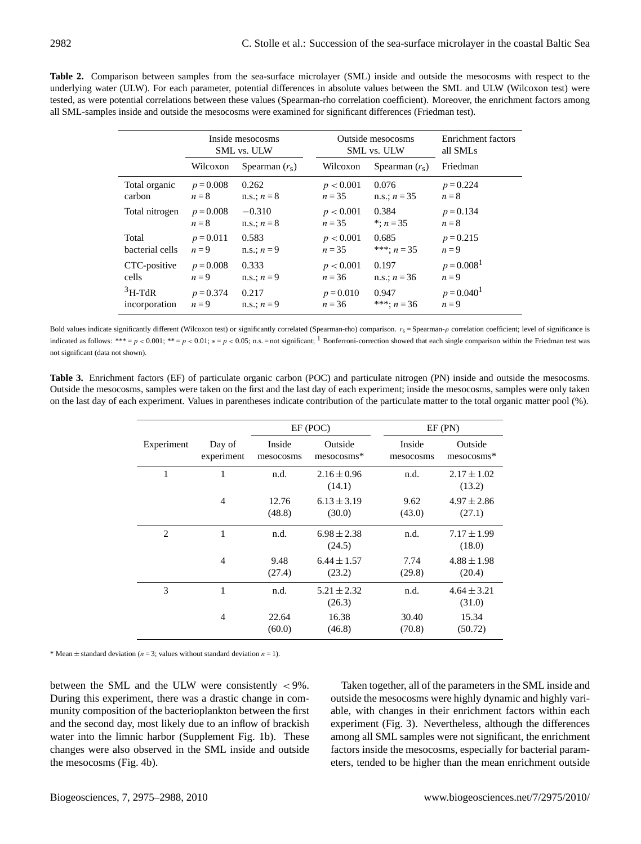| <b>Table 2.</b> Comparison between samples from the sea-surface microlayer (SML) inside and outside the mesocosms with respect to the      |
|--------------------------------------------------------------------------------------------------------------------------------------------|
| underlying water (ULW). For each parameter, potential differences in absolute values between the SML and ULW (Wilcoxon test) were          |
| tested, as were potential correlations between these values (Spearman-rho correlation coefficient). Moreover, the enrichment factors among |
| all SML-samples inside and outside the mesocosms were examined for significant differences (Friedman test).                                |

|                 |             | Inside mesocosms<br><b>SML</b> vs. ULW |             | Outside mesocosms<br>SML vs. ULW | Enrichment factors<br>all SMLs |
|-----------------|-------------|----------------------------------------|-------------|----------------------------------|--------------------------------|
|                 | Wilcoxon    | Spearman $(r_s)$                       | Wilcoxon    | Spearman $(r_s)$                 | Friedman                       |
| Total organic   | $p = 0.008$ | 0.262                                  | p < 0.001   | 0.076                            | $p = 0.224$                    |
| carbon          | $n=8$       | $n.s.: n = 8$                          | $n = 35$    | n.s.; $n = 35$                   | $n=8$                          |
| Total nitrogen  | $p = 0.008$ | $-0.310$                               | p < 0.001   | 0.384                            | $p = 0.134$                    |
|                 | $n=8$       | $n.s.: n = 8$                          | $n = 35$    | *; $n = 35$                      | $n=8$                          |
| Total           | $p = 0.011$ | 0.583                                  | p < 0.001   | 0.685                            | $p = 0.215$                    |
| bacterial cells | $n=9$       | $n.s.: n=9$                            | $n = 35$    | ***; $n = 35$                    | $n=9$                          |
| CTC-positive    | $p = 0.008$ | 0.333                                  | p < 0.001   | 0.197                            | $p = 0.0081$                   |
| cells           | $n=9$       | $n.s.: n=9$                            | $n = 36$    | n.s.; $n = 36$                   | $n=9$                          |
| $3H-TdR$        | $p = 0.374$ | 0.217                                  | $p = 0.010$ | 0.947                            | $p = 0.040$ <sup>1</sup>       |
| incorporation   | $n=9$       | $n.s.: n=9$                            | $n = 36$    | ***: $n = 36$                    | $n=9$                          |

Bold values indicate significantly different (Wilcoxon test) or significantly correlated (Spearman-rho) comparison.  $r_s =$  Spearman- $\rho$  correlation coefficient; level of significance is indicated as follows: \*\*\* = p < 0.001; \*\* = p < 0.01;  $n = p < 0.05$ ; n.s. = not significant; <sup>1</sup> Bonferroni-correction showed that each single comparison within the Friedman test was not significant (data not shown).

**Table 3.** Enrichment factors (EF) of particulate organic carbon (POC) and particulate nitrogen (PN) inside and outside the mesocosms. Outside the mesocosms, samples were taken on the first and the last day of each experiment; inside the mesocosms, samples were only taken on the last day of each experiment. Values in parentheses indicate contribution of the particulate matter to the total organic matter pool (%).

|                |                      |                     | EF (POC)                  |                     | EF(PN)                    |  |  |
|----------------|----------------------|---------------------|---------------------------|---------------------|---------------------------|--|--|
| Experiment     | Day of<br>experiment | Inside<br>mesocosms | Outside<br>mesocosms*     | Inside<br>mesocosms | Outside<br>mesocosms*     |  |  |
| 1              | 1                    | n.d.                | $2.16 \pm 0.96$<br>(14.1) | n.d.                | $2.17 \pm 1.02$<br>(13.2) |  |  |
|                | $\overline{4}$       | 12.76<br>(48.8)     | $6.13 \pm 3.19$<br>(30.0) | 9.62<br>(43.0)      | $4.97 \pm 2.86$<br>(27.1) |  |  |
| $\overline{2}$ | 1                    | n.d.                | $6.98 \pm 2.38$<br>(24.5) | n.d.                | $7.17 \pm 1.99$<br>(18.0) |  |  |
|                | $\overline{4}$       | 9.48<br>(27.4)      | $6.44 \pm 1.57$<br>(23.2) | 7.74<br>(29.8)      | $4.88 \pm 1.98$<br>(20.4) |  |  |
| 3              | 1                    | n.d.                | $5.21 \pm 2.32$<br>(26.3) | n.d.                | $4.64 \pm 3.21$<br>(31.0) |  |  |
|                | $\overline{4}$       | 22.64<br>(60.0)     | 16.38<br>(46.8)           | 30.40<br>(70.8)     | 15.34<br>(50.72)          |  |  |

\* Mean  $\pm$  standard deviation (*n* = 3; values without standard deviation *n* = 1).

between the SML and the ULW were consistently  $\langle 9\% \rangle$ . During this experiment, there was a drastic change in community composition of the bacterioplankton between the first and the second day, most likely due to an inflow of brackish water into the limnic harbor (Supplement Fig. 1b). These changes were also observed in the SML inside and outside the mesocosms (Fig. 4b).

Taken together, all of the parameters in the SML inside and outside the mesocosms were highly dynamic and highly variable, with changes in their enrichment factors within each experiment (Fig. 3). Nevertheless, although the differences among all SML samples were not significant, the enrichment factors inside the mesocosms, especially for bacterial parameters, tended to be higher than the mean enrichment outside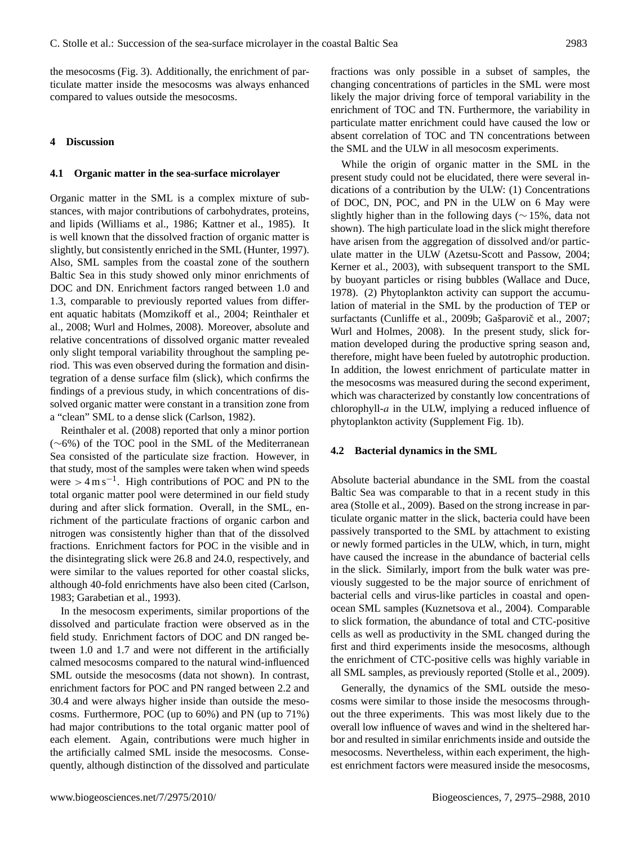the mesocosms (Fig. 3). Additionally, the enrichment of particulate matter inside the mesocosms was always enhanced compared to values outside the mesocosms.

## **4 Discussion**

#### **4.1 Organic matter in the sea-surface microlayer**

Organic matter in the SML is a complex mixture of substances, with major contributions of carbohydrates, proteins, and lipids (Williams et al., 1986; Kattner et al., 1985). It is well known that the dissolved fraction of organic matter is slightly, but consistently enriched in the SML (Hunter, 1997). Also, SML samples from the coastal zone of the southern Baltic Sea in this study showed only minor enrichments of DOC and DN. Enrichment factors ranged between 1.0 and 1.3, comparable to previously reported values from different aquatic habitats (Momzikoff et al., 2004; Reinthaler et al., 2008; Wurl and Holmes, 2008). Moreover, absolute and relative concentrations of dissolved organic matter revealed only slight temporal variability throughout the sampling period. This was even observed during the formation and disintegration of a dense surface film (slick), which confirms the findings of a previous study, in which concentrations of dissolved organic matter were constant in a transition zone from a "clean" SML to a dense slick (Carlson, 1982).

Reinthaler et al. (2008) reported that only a minor portion (∼6%) of the TOC pool in the SML of the Mediterranean Sea consisted of the particulate size fraction. However, in that study, most of the samples were taken when wind speeds were  $> 4 \text{ m s}^{-1}$ . High contributions of POC and PN to the total organic matter pool were determined in our field study during and after slick formation. Overall, in the SML, enrichment of the particulate fractions of organic carbon and nitrogen was consistently higher than that of the dissolved fractions. Enrichment factors for POC in the visible and in the disintegrating slick were 26.8 and 24.0, respectively, and were similar to the values reported for other coastal slicks, although 40-fold enrichments have also been cited (Carlson, 1983; Garabetian et al., 1993).

In the mesocosm experiments, similar proportions of the dissolved and particulate fraction were observed as in the field study. Enrichment factors of DOC and DN ranged between 1.0 and 1.7 and were not different in the artificially calmed mesocosms compared to the natural wind-influenced SML outside the mesocosms (data not shown). In contrast, enrichment factors for POC and PN ranged between 2.2 and 30.4 and were always higher inside than outside the mesocosms. Furthermore, POC (up to 60%) and PN (up to 71%) had major contributions to the total organic matter pool of each element. Again, contributions were much higher in the artificially calmed SML inside the mesocosms. Consequently, although distinction of the dissolved and particulate fractions was only possible in a subset of samples, the changing concentrations of particles in the SML were most likely the major driving force of temporal variability in the enrichment of TOC and TN. Furthermore, the variability in particulate matter enrichment could have caused the low or absent correlation of TOC and TN concentrations between the SML and the ULW in all mesocosm experiments.

While the origin of organic matter in the SML in the present study could not be elucidated, there were several indications of a contribution by the ULW: (1) Concentrations of DOC, DN, POC, and PN in the ULW on 6 May were slightly higher than in the following days (∼ 15%, data not shown). The high particulate load in the slick might therefore have arisen from the aggregation of dissolved and/or particulate matter in the ULW (Azetsu-Scott and Passow, 2004; Kerner et al., 2003), with subsequent transport to the SML by buoyant particles or rising bubbles (Wallace and Duce, 1978). (2) Phytoplankton activity can support the accumulation of material in the SML by the production of TEP or surfactants (Cunliffe et al., 2009b; Gašparovič et al., 2007; Wurl and Holmes, 2008). In the present study, slick formation developed during the productive spring season and, therefore, might have been fueled by autotrophic production. In addition, the lowest enrichment of particulate matter in the mesocosms was measured during the second experiment, which was characterized by constantly low concentrations of chlorophyll- $a$  in the ULW, implying a reduced influence of phytoplankton activity (Supplement Fig. 1b).

#### **4.2 Bacterial dynamics in the SML**

Absolute bacterial abundance in the SML from the coastal Baltic Sea was comparable to that in a recent study in this area (Stolle et al., 2009). Based on the strong increase in particulate organic matter in the slick, bacteria could have been passively transported to the SML by attachment to existing or newly formed particles in the ULW, which, in turn, might have caused the increase in the abundance of bacterial cells in the slick. Similarly, import from the bulk water was previously suggested to be the major source of enrichment of bacterial cells and virus-like particles in coastal and openocean SML samples (Kuznetsova et al., 2004). Comparable to slick formation, the abundance of total and CTC-positive cells as well as productivity in the SML changed during the first and third experiments inside the mesocosms, although the enrichment of CTC-positive cells was highly variable in all SML samples, as previously reported (Stolle et al., 2009).

Generally, the dynamics of the SML outside the mesocosms were similar to those inside the mesocosms throughout the three experiments. This was most likely due to the overall low influence of waves and wind in the sheltered harbor and resulted in similar enrichments inside and outside the mesocosms. Nevertheless, within each experiment, the highest enrichment factors were measured inside the mesocosms,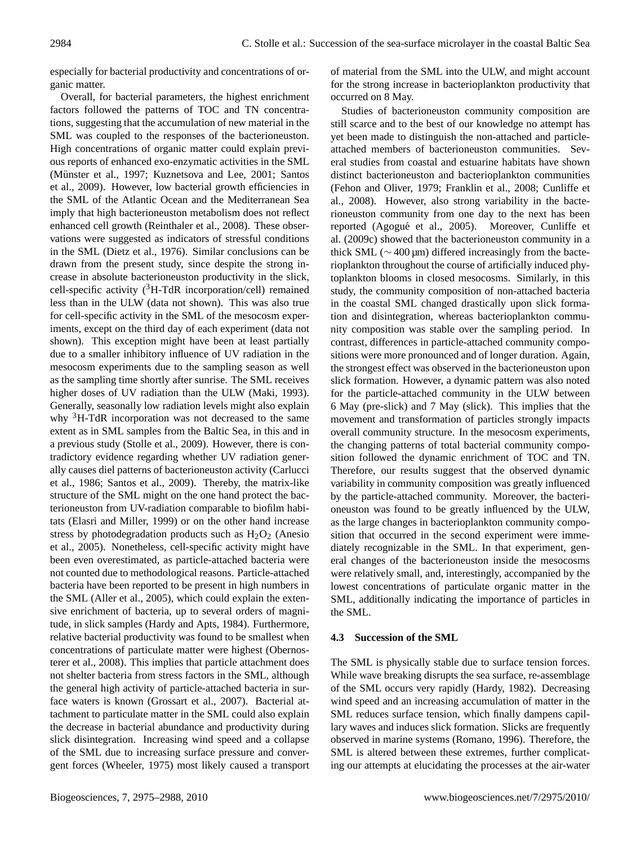especially for bacterial productivity and concentrations of organic matter.

Overall, for bacterial parameters, the highest enrichment factors followed the patterns of TOC and TN concentrations, suggesting that the accumulation of new material in the SML was coupled to the responses of the bacterioneuston. High concentrations of organic matter could explain previous reports of enhanced exo-enzymatic activities in the SML (Münster et al., 1997; Kuznetsova and Lee, 2001; Santos et al., 2009). However, low bacterial growth efficiencies in the SML of the Atlantic Ocean and the Mediterranean Sea imply that high bacterioneuston metabolism does not reflect enhanced cell growth (Reinthaler et al., 2008). These observations were suggested as indicators of stressful conditions in the SML (Dietz et al., 1976). Similar conclusions can be drawn from the present study, since despite the strong increase in absolute bacterioneuston productivity in the slick, cell-specific activity  $(^{3}H-TdR$  incorporation/cell) remained less than in the ULW (data not shown). This was also true for cell-specific activity in the SML of the mesocosm experiments, except on the third day of each experiment (data not shown). This exception might have been at least partially due to a smaller inhibitory influence of UV radiation in the mesocosm experiments due to the sampling season as well as the sampling time shortly after sunrise. The SML receives higher doses of UV radiation than the ULW (Maki, 1993). Generally, seasonally low radiation levels might also explain why <sup>3</sup>H-TdR incorporation was not decreased to the same extent as in SML samples from the Baltic Sea, in this and in a previous study (Stolle et al., 2009). However, there is contradictory evidence regarding whether UV radiation generally causes diel patterns of bacterioneuston activity (Carlucci et al., 1986; Santos et al., 2009). Thereby, the matrix-like structure of the SML might on the one hand protect the bacterioneuston from UV-radiation comparable to biofilm habitats (Elasri and Miller, 1999) or on the other hand increase stress by photodegradation products such as  $H_2O_2$  (Anesio et al., 2005). Nonetheless, cell-specific activity might have been even overestimated, as particle-attached bacteria were not counted due to methodological reasons. Particle-attached bacteria have been reported to be present in high numbers in the SML (Aller et al., 2005), which could explain the extensive enrichment of bacteria, up to several orders of magnitude, in slick samples (Hardy and Apts, 1984). Furthermore, relative bacterial productivity was found to be smallest when concentrations of particulate matter were highest (Obernosterer et al., 2008). This implies that particle attachment does not shelter bacteria from stress factors in the SML, although the general high activity of particle-attached bacteria in surface waters is known (Grossart et al., 2007). Bacterial attachment to particulate matter in the SML could also explain the decrease in bacterial abundance and productivity during slick disintegration. Increasing wind speed and a collapse of the SML due to increasing surface pressure and convergent forces (Wheeler, 1975) most likely caused a transport of material from the SML into the ULW, and might account for the strong increase in bacterioplankton productivity that occurred on 8 May.

Studies of bacterioneuston community composition are still scarce and to the best of our knowledge no attempt has yet been made to distinguish the non-attached and particleattached members of bacterioneuston communities. Several studies from coastal and estuarine habitats have shown distinct bacterioneuston and bacterioplankton communities (Fehon and Oliver, 1979; Franklin et al., 2008; Cunliffe et al., 2008). However, also strong variability in the bacterioneuston community from one day to the next has been reported (Agogué et al., 2005). Moreover, Cunliffe et al. (2009c) showed that the bacterioneuston community in a thick SML ( $\sim$  400 μm) differed increasingly from the bacterioplankton throughout the course of artificially induced phytoplankton blooms in closed mesocosms. Similarly, in this study, the community composition of non-attached bacteria in the coastal SML changed drastically upon slick formation and disintegration, whereas bacterioplankton community composition was stable over the sampling period. In contrast, differences in particle-attached community compositions were more pronounced and of longer duration. Again, the strongest effect was observed in the bacterioneuston upon slick formation. However, a dynamic pattern was also noted for the particle-attached community in the ULW between 6 May (pre-slick) and 7 May (slick). This implies that the movement and transformation of particles strongly impacts overall community structure. In the mesocosm experiments, the changing patterns of total bacterial community composition followed the dynamic enrichment of TOC and TN. Therefore, our results suggest that the observed dynamic variability in community composition was greatly influenced by the particle-attached community. Moreover, the bacterioneuston was found to be greatly influenced by the ULW, as the large changes in bacterioplankton community composition that occurred in the second experiment were immediately recognizable in the SML. In that experiment, general changes of the bacterioneuston inside the mesocosms were relatively small, and, interestingly, accompanied by the lowest concentrations of particulate organic matter in the SML, additionally indicating the importance of particles in the SML.

## **4.3 Succession of the SML**

The SML is physically stable due to surface tension forces. While wave breaking disrupts the sea surface, re-assemblage of the SML occurs very rapidly (Hardy, 1982). Decreasing wind speed and an increasing accumulation of matter in the SML reduces surface tension, which finally dampens capillary waves and induces slick formation. Slicks are frequently observed in marine systems (Romano, 1996). Therefore, the SML is altered between these extremes, further complicating our attempts at elucidating the processes at the air-water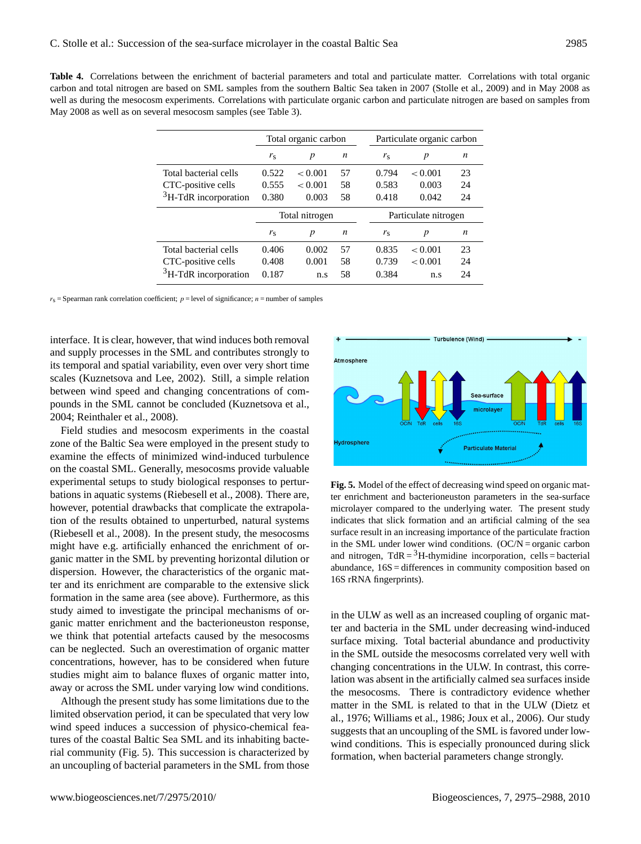| <b>Table 4.</b> Correlations between the enrichment of bacterial parameters and total and particulate matter. Correlations with total organic |
|-----------------------------------------------------------------------------------------------------------------------------------------------|
| carbon and total nitrogen are based on SML samples from the southern Baltic Sea taken in 2007 (Stolle et al., 2009) and in May 2008 as        |
| well as during the mesocosm experiments. Correlations with particulate organic carbon and particulate nitrogen are based on samples from      |
| May 2008 as well as on several mesocosm samples (see Table 3).                                                                                |

|                         | Total organic carbon |                  |    |                      | Particulate organic carbon |    |  |
|-------------------------|----------------------|------------------|----|----------------------|----------------------------|----|--|
|                         | $r_{\rm s}$          | p                | n  | $r_{\rm s}$          | p                          | n  |  |
| Total bacterial cells   | 0.522                | < 0.001          | 57 | 0.794                | < 0.001                    | 23 |  |
| CTC-positive cells      | 0.555                | < 0.001          | 58 | 0.583                | 0.003                      | 24 |  |
| $3H$ -TdR incorporation | 0.380                | 0.003            | 58 | 0.418                | 0.042                      | 24 |  |
|                         | Total nitrogen       |                  |    | Particulate nitrogen |                            |    |  |
|                         |                      |                  |    |                      |                            |    |  |
|                         | $r_{\rm s}$          | $\boldsymbol{p}$ | n  | $r_{\rm s}$          | p                          | n  |  |
| Total bacterial cells   | 0.406                | 0.002            | 57 | 0.835                | < 0.001                    | 23 |  |
| CTC-positive cells      | 0.408                | 0.001            | 58 | 0.739                | < 0.001                    | 24 |  |

 $r<sub>S</sub>$  = Spearman rank correlation coefficient;  $p$  = level of significance;  $n$  = number of samples

interface. It is clear, however, that wind induces both removal and supply processes in the SML and contributes strongly to its temporal and spatial variability, even over very short time scales (Kuznetsova and Lee, 2002). Still, a simple relation between wind speed and changing concentrations of compounds in the SML cannot be concluded (Kuznetsova et al., 2004; Reinthaler et al., 2008).

Field studies and mesocosm experiments in the coastal zone of the Baltic Sea were employed in the present study to examine the effects of minimized wind-induced turbulence on the coastal SML. Generally, mesocosms provide valuable experimental setups to study biological responses to perturbations in aquatic systems (Riebesell et al., 2008). There are, however, potential drawbacks that complicate the extrapolation of the results obtained to unperturbed, natural systems (Riebesell et al., 2008). In the present study, the mesocosms might have e.g. artificially enhanced the enrichment of organic matter in the SML by preventing horizontal dilution or dispersion. However, the characteristics of the organic matter and its enrichment are comparable to the extensive slick formation in the same area (see above). Furthermore, as this study aimed to investigate the principal mechanisms of organic matter enrichment and the bacterioneuston response, we think that potential artefacts caused by the mesocosms can be neglected. Such an overestimation of organic matter concentrations, however, has to be considered when future studies might aim to balance fluxes of organic matter into, away or across the SML under varying low wind conditions.

Although the present study has some limitations due to the limited observation period, it can be speculated that very low wind speed induces a succession of physico-chemical features of the coastal Baltic Sea SML and its inhabiting bacterial community (Fig. 5). This succession is characterized by an uncoupling of bacterial parameters in the SML from those



**Fig. 5.** Model of the effect of decreasing wind speed on organic matter enrichment and bacterioneuston parameters in the sea-surface microlayer compared to the underlying water. The present study indicates that slick formation and an artificial calming of the sea surface result in an increasing importance of the particulate fraction in the SML under lower wind conditions.  $(OC/N = \text{organic carbon})$ and nitrogen,  $TdR = {}^{3}H$ -thymidine incorporation, cells = bacterial abundance, 16S = differences in community composition based on 16S rRNA fingerprints).

in the ULW as well as an increased coupling of organic matter and bacteria in the SML under decreasing wind-induced surface mixing. Total bacterial abundance and productivity in the SML outside the mesocosms correlated very well with changing concentrations in the ULW. In contrast, this correlation was absent in the artificially calmed sea surfaces inside the mesocosms. There is contradictory evidence whether matter in the SML is related to that in the ULW (Dietz et al., 1976; Williams et al., 1986; Joux et al., 2006). Our study suggests that an uncoupling of the SML is favored under lowwind conditions. This is especially pronounced during slick formation, when bacterial parameters change strongly.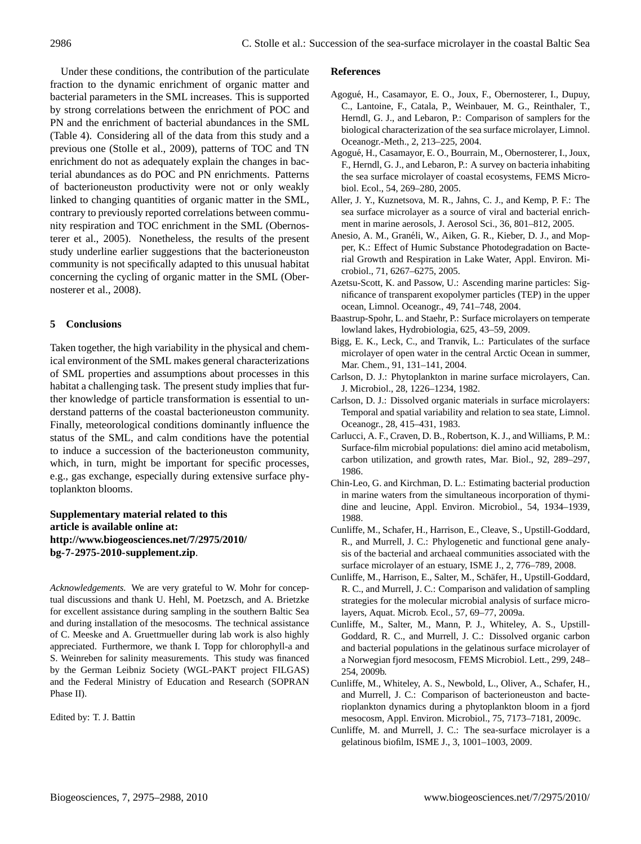Under these conditions, the contribution of the particulate fraction to the dynamic enrichment of organic matter and bacterial parameters in the SML increases. This is supported by strong correlations between the enrichment of POC and PN and the enrichment of bacterial abundances in the SML (Table 4). Considering all of the data from this study and a previous one (Stolle et al., 2009), patterns of TOC and TN enrichment do not as adequately explain the changes in bacterial abundances as do POC and PN enrichments. Patterns of bacterioneuston productivity were not or only weakly linked to changing quantities of organic matter in the SML, contrary to previously reported correlations between community respiration and TOC enrichment in the SML (Obernosterer et al., 2005). Nonetheless, the results of the present study underline earlier suggestions that the bacterioneuston community is not specifically adapted to this unusual habitat concerning the cycling of organic matter in the SML (Obernosterer et al., 2008).

# **5 Conclusions**

Taken together, the high variability in the physical and chemical environment of the SML makes general characterizations of SML properties and assumptions about processes in this habitat a challenging task. The present study implies that further knowledge of particle transformation is essential to understand patterns of the coastal bacterioneuston community. Finally, meteorological conditions dominantly influence the status of the SML, and calm conditions have the potential to induce a succession of the bacterioneuston community, which, in turn, might be important for specific processes, e.g., gas exchange, especially during extensive surface phytoplankton blooms.

# **Supplementary material related to this article is available online at: [http://www.biogeosciences.net/7/2975/2010/](http://www.biogeosciences.net/7/2975/2010/bg-7-2975-2010-supplement.zip) [bg-7-2975-2010-supplement.zip](http://www.biogeosciences.net/7/2975/2010/bg-7-2975-2010-supplement.zip)**.

*Acknowledgements.* We are very grateful to W. Mohr for conceptual discussions and thank U. Hehl, M. Poetzsch, and A. Brietzke for excellent assistance during sampling in the southern Baltic Sea and during installation of the mesocosms. The technical assistance of C. Meeske and A. Gruettmueller during lab work is also highly appreciated. Furthermore, we thank I. Topp for chlorophyll-a and S. Weinreben for salinity measurements. This study was financed by the German Leibniz Society (WGL-PAKT project FILGAS) and the Federal Ministry of Education and Research (SOPRAN Phase II).

Edited by: T. J. Battin

## **References**

- Agogue, H., Casamayor, E. O., Joux, F., Obernosterer, I., Dupuy, ´ C., Lantoine, F., Catala, P., Weinbauer, M. G., Reinthaler, T., Herndl, G. J., and Lebaron, P.: Comparison of samplers for the biological characterization of the sea surface microlayer, Limnol. Oceanogr.-Meth., 2, 213–225, 2004.
- Agogue, H., Casamayor, E. O., Bourrain, M., Obernosterer, I., Joux, ´ F., Herndl, G. J., and Lebaron, P.: A survey on bacteria inhabiting the sea surface microlayer of coastal ecosystems, FEMS Microbiol. Ecol., 54, 269–280, 2005.
- Aller, J. Y., Kuznetsova, M. R., Jahns, C. J., and Kemp, P. F.: The sea surface microlayer as a source of viral and bacterial enrichment in marine aerosols, J. Aerosol Sci., 36, 801–812, 2005.
- Anesio, A. M., Granéli, W., Aiken, G. R., Kieber, D. J., and Mopper, K.: Effect of Humic Substance Photodegradation on Bacterial Growth and Respiration in Lake Water, Appl. Environ. Microbiol., 71, 6267–6275, 2005.
- Azetsu-Scott, K. and Passow, U.: Ascending marine particles: Significance of transparent exopolymer particles (TEP) in the upper ocean, Limnol. Oceanogr., 49, 741–748, 2004.
- Baastrup-Spohr, L. and Staehr, P.: Surface microlayers on temperate lowland lakes, Hydrobiologia, 625, 43–59, 2009.
- Bigg, E. K., Leck, C., and Tranvik, L.: Particulates of the surface microlayer of open water in the central Arctic Ocean in summer, Mar. Chem., 91, 131–141, 2004.
- Carlson, D. J.: Phytoplankton in marine surface microlayers, Can. J. Microbiol., 28, 1226–1234, 1982.
- Carlson, D. J.: Dissolved organic materials in surface microlayers: Temporal and spatial variability and relation to sea state, Limnol. Oceanogr., 28, 415–431, 1983.
- Carlucci, A. F., Craven, D. B., Robertson, K. J., and Williams, P. M.: Surface-film microbial populations: diel amino acid metabolism, carbon utilization, and growth rates, Mar. Biol., 92, 289–297, 1986.
- Chin-Leo, G. and Kirchman, D. L.: Estimating bacterial production in marine waters from the simultaneous incorporation of thymidine and leucine, Appl. Environ. Microbiol., 54, 1934–1939, 1988.
- Cunliffe, M., Schafer, H., Harrison, E., Cleave, S., Upstill-Goddard, R., and Murrell, J. C.: Phylogenetic and functional gene analysis of the bacterial and archaeal communities associated with the surface microlayer of an estuary, ISME J., 2, 776–789, 2008.
- Cunliffe, M., Harrison, E., Salter, M., Schafer, H., Upstill-Goddard, ¨ R. C., and Murrell, J. C.: Comparison and validation of sampling strategies for the molecular microbial analysis of surface microlayers, Aquat. Microb. Ecol., 57, 69–77, 2009a.
- Cunliffe, M., Salter, M., Mann, P. J., Whiteley, A. S., Upstill-Goddard, R. C., and Murrell, J. C.: Dissolved organic carbon and bacterial populations in the gelatinous surface microlayer of a Norwegian fjord mesocosm, FEMS Microbiol. Lett., 299, 248– 254, 2009b.
- Cunliffe, M., Whiteley, A. S., Newbold, L., Oliver, A., Schafer, H., and Murrell, J. C.: Comparison of bacterioneuston and bacterioplankton dynamics during a phytoplankton bloom in a fjord mesocosm, Appl. Environ. Microbiol., 75, 7173–7181, 2009c.
- Cunliffe, M. and Murrell, J. C.: The sea-surface microlayer is a gelatinous biofilm, ISME J., 3, 1001–1003, 2009.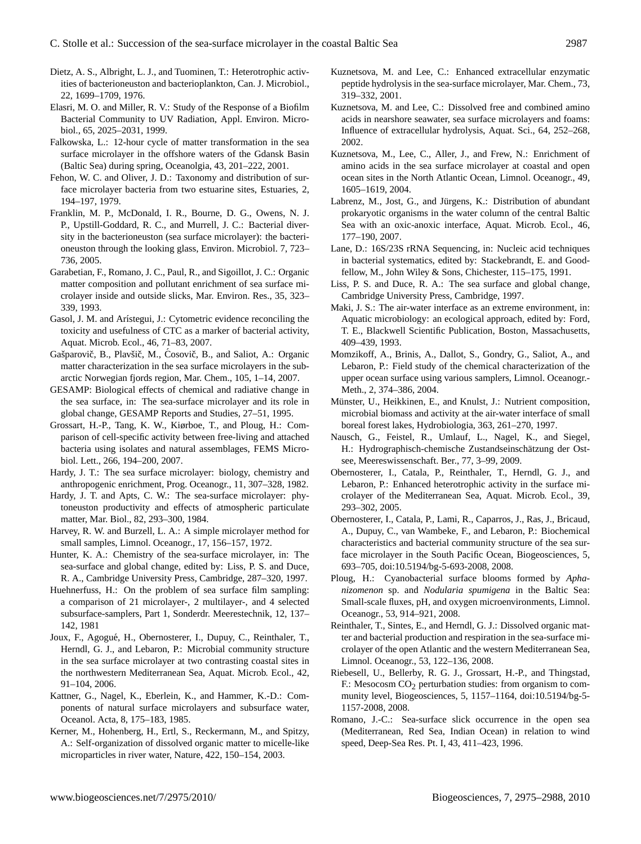- Dietz, A. S., Albright, L. J., and Tuominen, T.: Heterotrophic activities of bacterioneuston and bacterioplankton, Can. J. Microbiol., 22, 1699–1709, 1976.
- Elasri, M. O. and Miller, R. V.: Study of the Response of a Biofilm Bacterial Community to UV Radiation, Appl. Environ. Microbiol., 65, 2025–2031, 1999.
- Falkowska, L.: 12-hour cycle of matter transformation in the sea surface microlayer in the offshore waters of the Gdansk Basin (Baltic Sea) during spring, Oceanolgia, 43, 201–222, 2001.
- Fehon, W. C. and Oliver, J. D.: Taxonomy and distribution of surface microlayer bacteria from two estuarine sites, Estuaries, 2, 194–197, 1979.
- Franklin, M. P., McDonald, I. R., Bourne, D. G., Owens, N. J. P., Upstill-Goddard, R. C., and Murrell, J. C.: Bacterial diversity in the bacterioneuston (sea surface microlayer): the bacterioneuston through the looking glass, Environ. Microbiol. 7, 723– 736, 2005.
- Garabetian, F., Romano, J. C., Paul, R., and Sigoillot, J. C.: Organic matter composition and pollutant enrichment of sea surface microlayer inside and outside slicks, Mar. Environ. Res., 35, 323– 339, 1993.
- Gasol, J. M. and Arístegui, J.: Cytometric evidence reconciling the toxicity and usefulness of CTC as a marker of bacterial activity, Aquat. Microb. Ecol., 46, 71–83, 2007.
- Gašparovič, B., Plavšič, M., Ćosovič, B., and Saliot, A.: Organic matter characterization in the sea surface microlayers in the subarctic Norwegian fjords region, Mar. Chem., 105, 1–14, 2007.
- GESAMP: Biological effects of chemical and radiative change in the sea surface, in: The sea-surface microlayer and its role in global change, GESAMP Reports and Studies, 27–51, 1995.
- Grossart, H.-P., Tang, K. W., Kiørboe, T., and Ploug, H.: Comparison of cell-specific activity between free-living and attached bacteria using isolates and natural assemblages, FEMS Microbiol. Lett., 266, 194–200, 2007.
- Hardy, J. T.: The sea surface microlayer: biology, chemistry and anthropogenic enrichment, Prog. Oceanogr., 11, 307–328, 1982.
- Hardy, J. T. and Apts, C. W.: The sea-surface microlayer: phytoneuston productivity and effects of atmospheric particulate matter, Mar. Biol., 82, 293–300, 1984.
- Harvey, R. W. and Burzell, L. A.: A simple microlayer method for small samples, Limnol. Oceanogr., 17, 156–157, 1972.
- Hunter, K. A.: Chemistry of the sea-surface microlayer, in: The sea-surface and global change, edited by: Liss, P. S. and Duce, R. A., Cambridge University Press, Cambridge, 287–320, 1997.
- Huehnerfuss, H.: On the problem of sea surface film sampling: a comparison of 21 microlayer-, 2 multilayer-, and 4 selected subsurface-samplers, Part 1, Sonderdr. Meerestechnik, 12, 137– 142, 1981
- Joux, F., Agogue, H., Obernosterer, I., Dupuy, C., Reinthaler, T., ´ Herndl, G. J., and Lebaron, P.: Microbial community structure in the sea surface microlayer at two contrasting coastal sites in the northwestern Mediterranean Sea, Aquat. Microb. Ecol., 42, 91–104, 2006.
- Kattner, G., Nagel, K., Eberlein, K., and Hammer, K.-D.: Components of natural surface microlayers and subsurface water, Oceanol. Acta, 8, 175–183, 1985.
- Kerner, M., Hohenberg, H., Ertl, S., Reckermann, M., and Spitzy, A.: Self-organization of dissolved organic matter to micelle-like microparticles in river water, Nature, 422, 150–154, 2003.
- Kuznetsova, M. and Lee, C.: Enhanced extracellular enzymatic peptide hydrolysis in the sea-surface microlayer, Mar. Chem., 73, 319–332, 2001.
- Kuznetsova, M. and Lee, C.: Dissolved free and combined amino acids in nearshore seawater, sea surface microlayers and foams: Influence of extracellular hydrolysis, Aquat. Sci., 64, 252–268, 2002.
- Kuznetsova, M., Lee, C., Aller, J., and Frew, N.: Enrichment of amino acids in the sea surface microlayer at coastal and open ocean sites in the North Atlantic Ocean, Limnol. Oceanogr., 49, 1605–1619, 2004.
- Labrenz, M., Jost, G., and Jürgens, K.: Distribution of abundant prokaryotic organisms in the water column of the central Baltic Sea with an oxic-anoxic interface, Aquat. Microb. Ecol., 46, 177–190, 2007.
- Lane, D.: 16S/23S rRNA Sequencing, in: Nucleic acid techniques in bacterial systematics, edited by: Stackebrandt, E. and Goodfellow, M., John Wiley & Sons, Chichester, 115–175, 1991.
- Liss, P. S. and Duce, R. A.: The sea surface and global change, Cambridge University Press, Cambridge, 1997.
- Maki, J. S.: The air-water interface as an extreme environment, in: Aquatic microbiology: an ecological approach, edited by: Ford, T. E., Blackwell Scientific Publication, Boston, Massachusetts, 409–439, 1993.
- Momzikoff, A., Brinis, A., Dallot, S., Gondry, G., Saliot, A., and Lebaron, P.: Field study of the chemical characterization of the upper ocean surface using various samplers, Limnol. Oceanogr.- Meth., 2, 374–386, 2004.
- Münster, U., Heikkinen, E., and Knulst, J.: Nutrient composition, microbial biomass and activity at the air-water interface of small boreal forest lakes, Hydrobiologia, 363, 261–270, 1997.
- Nausch, G., Feistel, R., Umlauf, L., Nagel, K., and Siegel, H.: Hydrographisch-chemische Zustandseinschätzung der Ostsee, Meereswissenschaft. Ber., 77, 3–99, 2009.
- Obernosterer, I., Catala, P., Reinthaler, T., Herndl, G. J., and Lebaron, P.: Enhanced heterotrophic activity in the surface microlayer of the Mediterranean Sea, Aquat. Microb. Ecol., 39, 293–302, 2005.
- Obernosterer, I., Catala, P., Lami, R., Caparros, J., Ras, J., Bricaud, A., Dupuy, C., van Wambeke, F., and Lebaron, P.: Biochemical characteristics and bacterial community structure of the sea surface microlayer in the South Pacific Ocean, Biogeosciences, 5, 693–705, doi:10.5194/bg-5-693-2008, 2008.
- Ploug, H.: Cyanobacterial surface blooms formed by *Aphanizomenon* sp. and *Nodularia spumigena* in the Baltic Sea: Small-scale fluxes, pH, and oxygen microenvironments, Limnol. Oceanogr., 53, 914–921, 2008.
- Reinthaler, T., Sintes, E., and Herndl, G. J.: Dissolved organic matter and bacterial production and respiration in the sea-surface microlayer of the open Atlantic and the western Mediterranean Sea, Limnol. Oceanogr., 53, 122–136, 2008.
- Riebesell, U., Bellerby, R. G. J., Grossart, H.-P., and Thingstad, F.: Mesocosm  $CO<sub>2</sub>$  perturbation studies: from organism to community level, Biogeosciences, 5, 1157–1164, doi:10.5194/bg-5- 1157-2008, 2008.
- Romano, J.-C.: Sea-surface slick occurrence in the open sea (Mediterranean, Red Sea, Indian Ocean) in relation to wind speed, Deep-Sea Res. Pt. I, 43, 411–423, 1996.